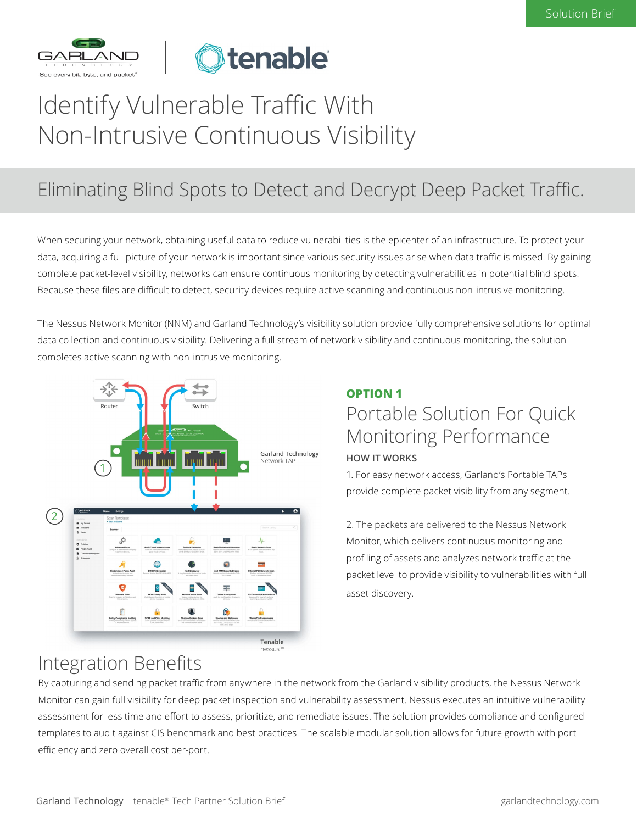



# Identify Vulnerable Traffic With Non-Intrusive Continuous Visibility

## Eliminating Blind Spots to Detect and Decrypt Deep Packet Traffic.

When securing your network, obtaining useful data to reduce vulnerabilities is the epicenter of an infrastructure. To protect your data, acquiring a full picture of your network is important since various security issues arise when data traffic is missed. By gaining complete packet-level visibility, networks can ensure continuous monitoring by detecting vulnerabilities in potential blind spots. Because these files are difficult to detect, security devices require active scanning and continuous non-intrusive monitoring.

The Nessus Network Monitor (NNM) and Garland Technology's visibility solution provide fully comprehensive solutions for optimal data collection and continuous visibility. Delivering a full stream of network visibility and continuous monitoring, the solution completes active scanning with non-intrusive monitoring.



### **OPTION 1** Portable Solution For Quick Monitoring Performance **HOW IT WORKS**

1. For easy network access, Garland's Portable TAPs provide complete packet visibility from any segment.

2. The packets are delivered to the Nessus Network Monitor, which delivers continuous monitoring and profiling of assets and analyzes network traffic at the packet level to provide visibility to vulnerabilities with full asset discovery.

### Integration Benefits

By capturing and sending packet traffic from anywhere in the network from the Garland visibility products, the Nessus Network Monitor can gain full visibility for deep packet inspection and vulnerability assessment. Nessus executes an intuitive vulnerability assessment for less time and effort to assess, prioritize, and remediate issues. The solution provides compliance and configured templates to audit against CIS benchmark and best practices. The scalable modular solution allows for future growth with port efficiency and zero overall cost per-port.